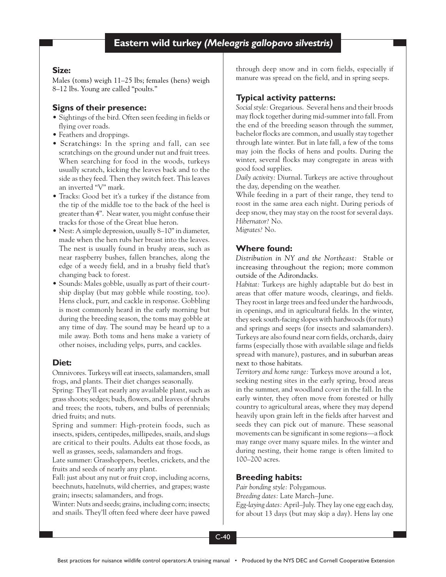# **Size:**

Males (toms) weigh 11–25 lbs; females (hens) weigh 8–12 lbs. Young are called "poults."

# **Signs of their presence:**

- Sightings of the bird. Often seen feeding in fields or flying over roads.
- Feathers and droppings.
- Scratchings: In the spring and fall, can see scratchings on the ground under nut and fruit trees. When searching for food in the woods, turkeys usually scratch, kicking the leaves back and to the side as they feed. Then they switch feet. This leaves an inverted "V" mark.
- Tracks: Good bet it's a turkey if the distance from the tip of the middle toe to the back of the heel is greater than 4". Near water, you might confuse their tracks for those of the Great blue heron.
- Nest: A simple depression, usually 8–10" in diameter, made when the hen rubs her breast into the leaves. The nest is usually found in brushy areas, such as near raspberry bushes, fallen branches, along the edge of a weedy field, and in a brushy field that's changing back to forest.
- Sounds: Males gobble, usually as part of their courtship display (but may gobble while roosting, too). Hens cluck, purr, and cackle in response. Gobbling is most commonly heard in the early morning but during the breeding season, the toms may gobble at any time of day. The sound may be heard up to a mile away. Both toms and hens make a variety of other noises, including yelps, purrs, and cackles.

# **Diet:**

Omnivores. Turkeys will eat insects, salamanders, small frogs, and plants. Their diet changes seasonally.

Spring: They'll eat nearly any available plant, such as grass shoots; sedges; buds, flowers, and leaves of shrubs and trees; the roots, tubers, and bulbs of perennials; dried fruits; and nuts.

Spring and summer: High-protein foods, such as insects, spiders, centipedes, millipedes, snails, and slugs are critical to their poults. Adults eat those foods, as well as grasses, seeds, salamanders and frogs.

Late summer: Grasshoppers, beetles, crickets, and the fruits and seeds of nearly any plant.

Fall: just about any nut or fruit crop, including acorns, beechnuts, hazelnuts, wild cherries, and grapes; waste grain; insects; salamanders, and frogs.

Winter: Nuts and seeds; grains, including corn; insects; and snails. They'll often feed where deer have pawed through deep snow and in corn fields, especially if manure was spread on the field, and in spring seeps.

# **Typical activity patterns:**

*Social style:* Gregarious. Several hens and their broods may flock together during mid-summer into fall. From the end of the breeding season through the summer, bachelor flocks are common, and usually stay together through late winter. But in late fall, a few of the toms may join the flocks of hens and poults. During the winter, several flocks may congregate in areas with good food supplies.

*Daily activity:* Diurnal. Turkeys are active throughout the day, depending on the weather.

While feeding in a part of their range, they tend to roost in the same area each night. During periods of deep snow, they may stay on the roost for several days. *Hibernator?* No.

*Migrates?* No.

# **Where found:**

*Distribution in NY and the Northeast:* Stable or increasing throughout the region; more common outside of the Adirondacks.

*Habitat:* Turkeys are highly adaptable but do best in areas that offer mature woods, clearings, and fields. They roost in large trees and feed under the hardwoods, in openings, and in agricultural fields. In the winter, they seek south-facing slopes with hardwoods (for nuts) and springs and seeps (for insects and salamanders). Turkeys are also found near corn fields, orchards, dairy farms (especially those with available silage and fields spread with manure), pastures, and in suburban areas next to those habitats.

*Territory and home range:* Turkeys move around a lot, seeking nesting sites in the early spring, brood areas in the summer, and woodland cover in the fall. In the early winter, they often move from forested or hilly country to agricultural areas, where they may depend heavily upon grain left in the fields after harvest and seeds they can pick out of manure. These seasonal movements can be significant in some regions—a flock may range over many square miles. In the winter and during nesting, their home range is often limited to 100–200 acres.

# **Breeding habits:**

*Pair bonding style:* Polygamous. *Breeding dates:* Late March–June. *Egg-laying dates:* April–July. They lay one egg each day, for about 13 days (but may skip a day). Hens lay one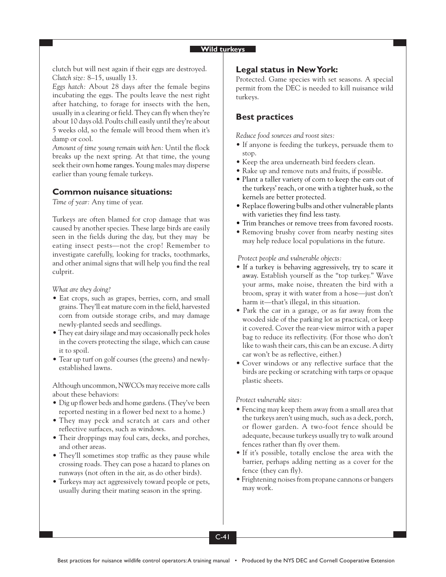#### **Wild turkeys**

clutch but will nest again if their eggs are destroyed. *Clutch size:* 8–15, usually 13.

*Eggs hatch:* About 28 days after the female begins incubating the eggs. The poults leave the nest right after hatching, to forage for insects with the hen, usually in a clearing or field. They can fly when they're about 10 days old. Poults chill easily until they're about 5 weeks old, so the female will brood them when it's damp or cool.

*Amount of time young remain with hen:* Until the flock breaks up the next spring. At that time, the young seek their own home ranges. Young males may disperse earlier than young female turkeys.

## **Common nuisance situations:**

*Time of year:* Any time of year.

Turkeys are often blamed for crop damage that was caused by another species. These large birds are easily seen in the fields during the day, but they may be eating insect pests—not the crop! Remember to investigate carefully, looking for tracks, toothmarks, and other animal signs that will help you find the real culprit.

*What are they doing?*

- Eat crops, such as grapes, berries, corn, and small grains. They'll eat mature corn in the field, harvested corn from outside storage cribs, and may damage newly-planted seeds and seedlings.
- They eat dairy silage and may occasionally peck holes in the covers protecting the silage, which can cause it to spoil.
- Tear up turf on golf courses (the greens) and newlyestablished lawns.

Although uncommon, NWCOs may receive more calls about these behaviors:

- Dig up flower beds and home gardens. (They've been reported nesting in a flower bed next to a home.)
- They may peck and scratch at cars and other reflective surfaces, such as windows.
- Their droppings may foul cars, decks, and porches, and other areas.
- They'll sometimes stop traffic as they pause while crossing roads. They can pose a hazard to planes on runways (not often in the air, as do other birds).
- Turkeys may act aggressively toward people or pets, usually during their mating season in the spring.

### **Legal status in New York:**

Protected. Game species with set seasons. A special permit from the DEC is needed to kill nuisance wild turkeys.

## **Best practices**

*Reduce food sources and roost sites:*

- If anyone is feeding the turkeys, persuade them to stop.
- Keep the area underneath bird feeders clean.
- Rake up and remove nuts and fruits, if possible.
- Plant a taller variety of corn to keep the ears out of the turkeys' reach, or one with a tighter husk, so the kernels are better protected.
- Replace flowering bulbs and other vulnerable plants with varieties they find less tasty.
- Trim branches or remove trees from favored roosts.
- Removing brushy cover from nearby nesting sites may help reduce local populations in the future.

*Protect people and vulnerable objects:*

- If a turkey is behaving aggressively, try to scare it away. Establish yourself as the "top turkey." Wave your arms, make noise, threaten the bird with a broom, spray it with water from a hose—just don't harm it—that's illegal, in this situation.
- Park the car in a garage, or as far away from the wooded side of the parking lot as practical, or keep it covered. Cover the rear-view mirror with a paper bag to reduce its reflectivity. (For those who don't like to wash their cars, this can be an excuse. A dirty car won't be as reflective, either.)
- Cover windows or any reflective surface that the birds are pecking or scratching with tarps or opaque plastic sheets.

*Protect vulnerable sites:*

- Fencing may keep them away from a small area that the turkeys aren't using much, such as a deck, porch, or flower garden. A two-foot fence should be adequate, because turkeys usually try to walk around fences rather than fly over them.
- If it's possible, totally enclose the area with the barrier, perhaps adding netting as a cover for the fence (they can fly).
- Frightening noises from propane cannons or bangers may work.